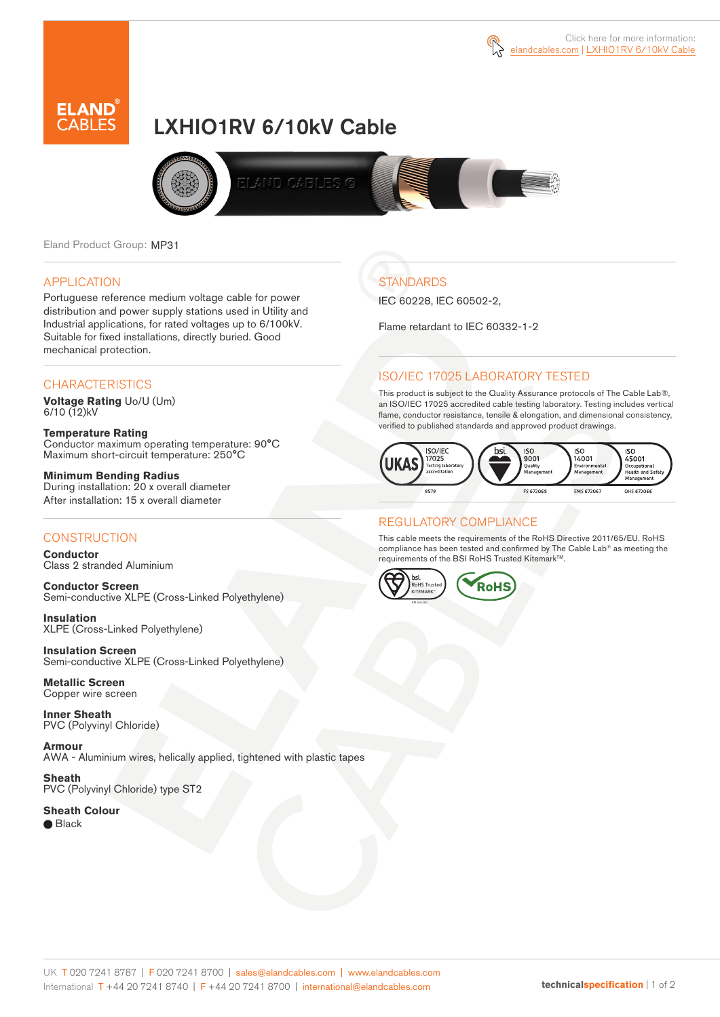



# LXHIO1RV 6/10kV Cable



Eland Product Group: MP31

#### APPLICATION

Portuguese reference medium voltage cable for power distribution and power supply stations used in Utility and Industrial applications, for rated voltages up to 6/100kV. Suitable for fixed installations, directly buried. Good mechanical protection.

### **CHARACTERISTICS**

**Voltage Rating** Uo/U (Um)  $6/10(12)$ kV

**Temperature Rating** Conductor maximum operating temperature: 90°C Maximum short-circuit temperature: 250°C

**Minimum Bending Radius** During installation: 20 x overall diameter After installation: 15 x overall diameter

### **CONSTRUCTION**

**Conductor**  Class 2 stranded Aluminium

**Conductor Screen** Semi-conductive XLPE (Cross-Linked Polyethylene)

**Insulation** XLPE (Cross-Linked Polyethylene)

**Insulation Screen** Semi-conductive XLPE (Cross-Linked Polyethylene)

**Metallic Screen**  Copper wire screen

**Inner Sheath** PVC (Polyvinyl Chloride)

**Armour** AWA - Aluminium wires, helically applied, tightened with plastic tapes

**Sheath** PVC (Polyvinyl Chloride) type ST2

**Sheath Colour**  ● Black

**STANDARDS** 

IEC 60228, IEC 60502-2,

Flame retardant to IEC 60332-1-2

## ISO/IEC 17025 LABORATORY TESTED

This product is subject to the Quality Assurance protocols of The Cable Lab®, an ISO/IEC 17025 accredited cable testing laboratory. Testing includes vertical flame, conductor resistance, tensile & elongation, and dimensional consistency, verified to published standards and approved product drawings.



#### REGULATORY COMPLIANCE

This cable meets the requirements of the RoHS Directive 2011/65/EU. RoHS compliance has been tested and confirmed by The Cable Lab® as meeting the requirements of the BSI RoHS Trusted Kitemark™.